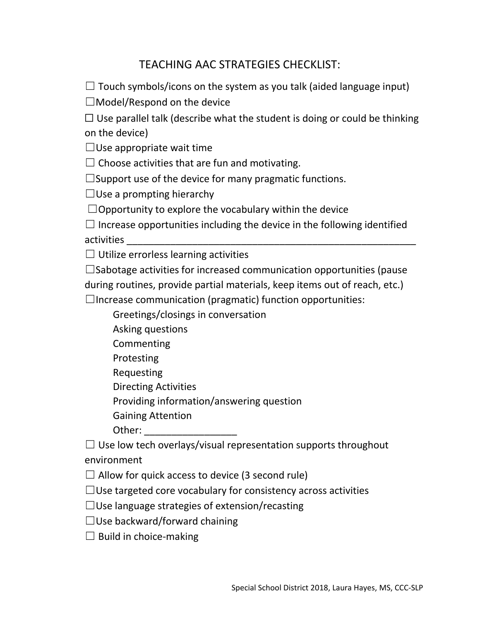## TEACHING AAC STRATEGIES CHECKLIST:

 $\Box$  Touch symbols/icons on the system as you talk (aided language input)

 $\Box$ Model/Respond on the device

 $\Box$  Use parallel talk (describe what the student is doing or could be thinking on the device)

 $\Box$ Use appropriate wait time

 $\Box$  Choose activities that are fun and motivating.

 $\square$ Support use of the device for many pragmatic functions.

 $\Box$ Use a prompting hierarchy

 $\Box$ Opportunity to explore the vocabulary within the device

 $\Box$  Increase opportunities including the device in the following identified activities

 $\Box$  Utilize errorless learning activities

 $\square$ Sabotage activities for increased communication opportunities (pause during routines, provide partial materials, keep items out of reach, etc.)

 $\Box$ Increase communication (pragmatic) function opportunities:

Greetings/closings in conversation

Asking questions

Commenting

Protesting

Requesting

Directing Activities

Providing information/answering question

Gaining Attention

Other: \_\_\_\_\_\_\_\_\_\_\_\_\_\_\_\_\_

 $\Box$  Use low tech overlays/visual representation supports throughout environment

 $\Box$  Allow for quick access to device (3 second rule)

 $\Box$ Use targeted core vocabulary for consistency across activities

 $\Box$ Use language strategies of extension/recasting

 $\Box$ Use backward/forward chaining

 $\Box$  Build in choice-making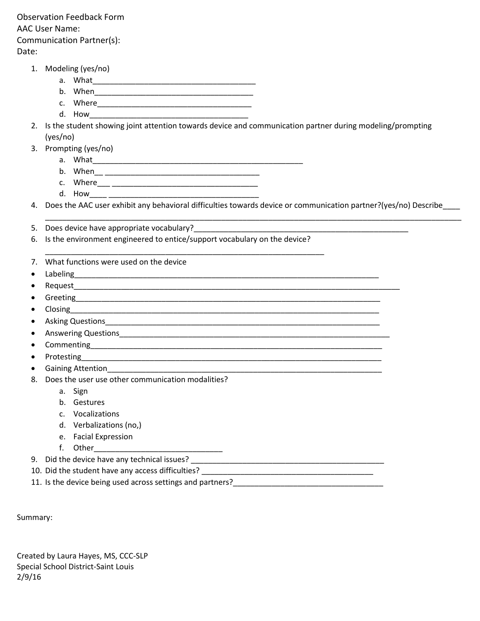Observation Feedback Form AAC User Name: Communication Partner(s): Date:

- 1. Modeling (yes/no)
	- a. What\_\_\_\_\_\_\_\_\_\_\_\_\_\_\_\_\_\_\_\_\_\_\_\_\_\_\_\_\_\_\_\_\_\_\_\_\_\_
	- b. When\_\_\_\_\_\_\_\_\_\_\_\_\_\_\_\_\_\_\_\_\_\_\_\_\_\_\_\_\_\_\_\_\_\_\_\_\_
	- c. Where\_\_\_\_\_\_\_\_\_\_\_\_\_\_\_\_\_\_\_\_\_\_\_\_\_\_\_\_\_\_\_\_\_\_\_\_
	- d. How
- 2. Is the student showing joint attention towards device and communication partner during modeling/prompting (yes/no)
- 3. Prompting (yes/no)
	- a. What\_\_\_\_\_\_\_\_\_\_\_\_\_\_\_\_\_\_\_\_\_\_\_\_\_\_\_\_\_\_\_\_\_\_\_\_\_\_\_\_\_\_\_\_\_\_\_\_\_
	- b. When\_\_ \_\_\_\_\_\_\_\_\_\_\_\_\_\_\_\_\_\_\_\_\_\_\_\_\_\_\_\_\_\_\_\_\_\_\_\_
	- c. Where\_\_\_ \_\_\_\_\_\_\_\_\_\_\_\_\_\_\_\_\_\_\_\_\_\_\_\_\_\_\_\_\_\_\_\_\_\_
	- d. How\_\_\_\_ \_\_\_\_\_\_\_\_\_\_\_\_\_\_\_\_\_\_\_\_\_\_\_\_\_\_\_\_\_\_\_\_\_\_\_

4. Does the AAC user exhibit any behavioral difficulties towards device or communication partner?(yes/no) Describe\_\_\_\_

\_\_\_\_\_\_\_\_\_\_\_\_\_\_\_\_\_\_\_\_\_\_\_\_\_\_\_\_\_\_\_\_\_\_\_\_\_\_\_\_\_\_\_\_\_\_\_\_\_\_\_\_\_\_\_\_\_\_\_\_\_\_\_\_\_\_\_\_\_\_\_\_\_\_\_\_\_\_\_\_\_\_\_\_\_\_\_\_\_\_\_\_\_\_\_\_\_

- 5. Does device have appropriate vocabulary?
- 6. Is the environment engineered to entice/support vocabulary on the device?

\_\_\_\_\_\_\_\_\_\_\_\_\_\_\_\_\_\_\_\_\_\_\_\_\_\_\_\_\_\_\_\_\_\_\_\_\_\_\_\_\_\_\_\_\_\_\_\_\_\_\_\_\_\_\_\_\_\_\_\_\_\_\_\_\_

- 7. What functions were used on the device
- $\bullet$  Labeling  $\qquad \qquad$
- Request\_\_\_\_\_\_\_\_\_\_\_\_\_\_\_\_\_\_\_\_\_\_\_\_\_\_\_\_\_\_\_\_\_\_\_\_\_\_\_\_\_\_\_\_\_\_\_\_\_\_\_\_\_\_\_\_\_\_\_\_\_\_\_\_\_\_\_\_\_\_\_\_\_\_\_\_
- Greeting\_\_\_\_\_
- $\bullet$  Closing
- Asking Questions\_\_\_\_\_\_\_\_\_\_\_\_\_\_\_\_\_\_\_\_\_\_\_\_\_\_\_\_\_\_\_\_\_\_\_\_\_\_\_\_\_\_\_\_\_\_\_\_\_\_\_\_\_\_\_\_\_\_\_\_\_\_\_\_
- Answering Questions\_\_\_\_\_\_\_\_\_\_\_\_\_\_\_\_\_\_\_\_\_\_\_\_\_\_\_\_\_\_\_\_\_\_\_\_\_\_\_\_\_\_\_\_\_\_\_\_\_\_\_\_\_\_\_\_\_\_\_\_\_\_\_
- $\bullet$  Commenting  $\bullet$
- Protesting\_\_\_\_\_\_\_\_\_\_\_\_\_\_\_\_\_\_\_\_\_\_\_\_\_\_\_\_\_\_\_\_\_\_\_\_\_\_\_\_\_\_\_\_\_\_\_\_\_\_\_\_\_\_\_\_\_\_\_\_\_\_\_\_\_\_\_\_\_\_
- Gaining Attention
- 8. Does the user use other communication modalities?
	- a. Sign
	- b. Gestures
	- c. Vocalizations
	- d. Verbalizations (no,)
	- e. Facial Expression
	- f. Other

9. Did the device have any technical issues? \_\_\_\_\_\_\_\_\_\_\_\_\_\_\_\_\_\_\_\_\_\_\_\_\_\_\_\_\_\_\_\_\_\_\_\_\_\_\_\_\_\_\_\_\_

- 10. Did the student have any access difficulties? \_\_\_\_\_\_\_\_\_\_\_\_\_\_\_\_\_\_\_\_\_\_\_\_\_\_\_\_\_\_\_\_\_\_\_\_\_\_\_\_
- 11. Is the device being used across settings and partners?

Summary:

Created by Laura Hayes, MS, CCC-SLP Special School District-Saint Louis 2/9/16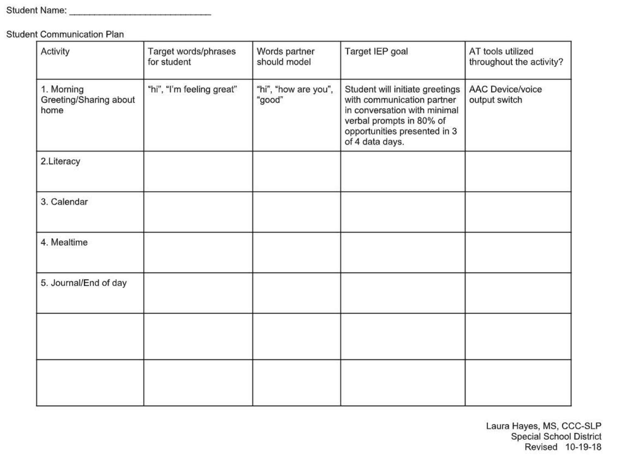**Student Communication Plan** 

| Activity                                     | Target words/phrases<br>for student | Words partner<br>should model  | Target IEP goal                                                                                                                                                              | AT tools utilized<br>throughout the activity? |
|----------------------------------------------|-------------------------------------|--------------------------------|------------------------------------------------------------------------------------------------------------------------------------------------------------------------------|-----------------------------------------------|
| 1. Morning<br>Greeting/Sharing about<br>home | "hi", "I'm feeling great"           | "hi", "how are you",<br>"good" | Student will initiate greetings<br>with communication partner<br>in conversation with minimal<br>verbal prompts in 80% of<br>opportunities presented in 3<br>of 4 data days. | <b>AAC Device/voice</b><br>output switch      |
| 2.Literacy                                   |                                     |                                |                                                                                                                                                                              |                                               |
| 3. Calendar                                  |                                     |                                |                                                                                                                                                                              |                                               |
| 4. Mealtime                                  |                                     |                                |                                                                                                                                                                              |                                               |
| 5. Journal/End of day                        |                                     |                                |                                                                                                                                                                              |                                               |
|                                              |                                     |                                |                                                                                                                                                                              |                                               |
|                                              |                                     |                                |                                                                                                                                                                              |                                               |